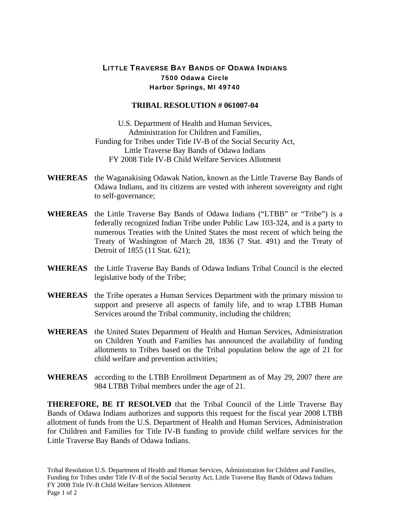## LITTLE TRAVERSE BAY BANDS OF ODAWA INDIANS 7500 Odawa Circle Harbor Springs, MI 49740

## **TRIBAL RESOLUTION # 061007-04**

U.S. Department of Health and Human Services, Administration for Children and Families, Funding for Tribes under Title IV-B of the Social Security Act, Little Traverse Bay Bands of Odawa Indians FY 2008 Title IV-B Child Welfare Services Allotment

- **WHEREAS** the Waganakising Odawak Nation, known as the Little Traverse Bay Bands of Odawa Indians, and its citizens are vested with inherent sovereignty and right to self-governance;
- **WHEREAS** the Little Traverse Bay Bands of Odawa Indians ("LTBB" or "Tribe") is a federally recognized Indian Tribe under Public Law 103-324, and is a party to numerous Treaties with the United States the most recent of which being the Treaty of Washington of March 28, 1836 (7 Stat. 491) and the Treaty of Detroit of 1855 (11 Stat. 621);
- **WHEREAS** the Little Traverse Bay Bands of Odawa Indians Tribal Council is the elected legislative body of the Tribe;
- **WHEREAS** the Tribe operates a Human Services Department with the primary mission to support and preserve all aspects of family life, and to wrap LTBB Human Services around the Tribal community, including the children;
- **WHEREAS** the United States Department of Health and Human Services, Administration on Children Youth and Families has announced the availability of funding allotments to Tribes based on the Tribal population below the age of 21 for child welfare and prevention activities;
- **WHEREAS** according to the LTBB Enrollment Department as of May 29, 2007 there are 984 LTBB Tribal members under the age of 21.

**THEREFORE, BE IT RESOLVED** that the Tribal Council of the Little Traverse Bay Bands of Odawa Indians authorizes and supports this request for the fiscal year 2008 LTBB allotment of funds from the U.S. Department of Health and Human Services, Administration for Children and Families for Title IV-B funding to provide child welfare services for the Little Traverse Bay Bands of Odawa Indians.